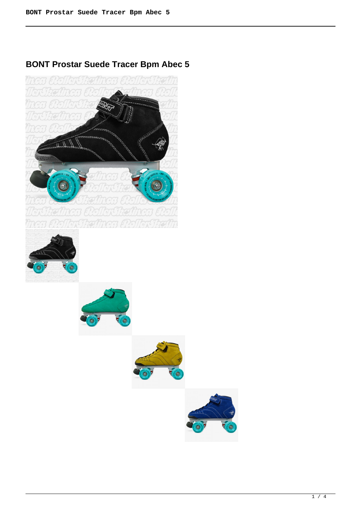# **BONT Prostar Suede Tracer Bpm Abec 5**



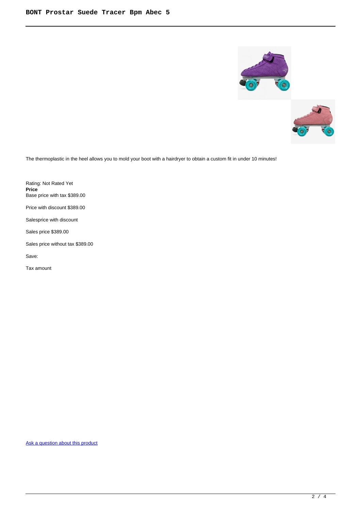



The thermoplastic in the heel allows you to mold your boot with a hairdryer to obtain a custom fit in under 10 minutes!

Rating: Not Rated Yet **Price**  Base price with tax \$389.00 Price with discount \$389.00 Salesprice with discount

Sales price \$389.00

Sales price without tax \$389.00

Save:

Tax amount

[Ask a question about this product](https://rollerskatin.ca/index.php?option=com_virtuemart&view=productdetails&task=askquestion&virtuemart_product_id=1190&virtuemart_category_id=28&tmpl=component)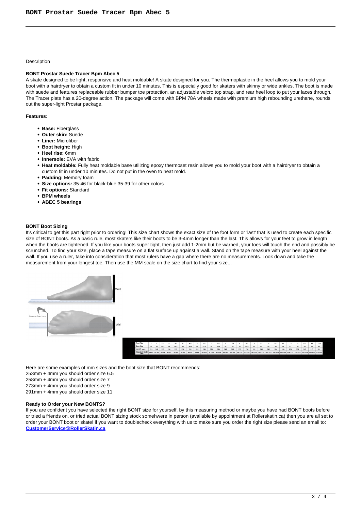#### **Description**

# **BONT Prostar Suede Tracer Bpm Abec 5**

A skate designed to be light, responsive and heat moldable! A skate designed for you. The thermoplastic in the heel allows you to mold your boot with a hairdryer to obtain a custom fit in under 10 minutes. This is especially good for skaters with skinny or wide ankles. The boot is made with suede and features replaceable rubber bumper toe protection, an adjustable velcro top strap, and rear heel loop to put your laces through. The Tracer plate has a 20-degree action. The package will come with BPM 78A wheels made with premium high rebounding urethane, rounds out the super-light Prostar package.

### **Features:**

- **Base:** Fiberglass
- **Outer skin:** Suede
- **Liner:** Microfiber
- **Boot height:** High
- **Heel rise:** 6mm
- **Innersole:** EVA with fabric
- **Heat moldable:** Fully heat moldable base utilizing epoxy thermoset resin allows you to mold your boot with a hairdryer to obtain a custom fit in under 10 minutes. Do not put in the oven to heat mold.
- **Padding:** Memory foam
- **Size options:** 35-46 for black-blue 35-39 for other colors
- **Fit options:** Standard
- **BPM wheels**
- **ABEC 5 bearings**

#### **BONT Boot Sizing**

It's critical to get this part right prior to ordering! This size chart shows the exact size of the foot form or 'last' that is used to create each specific size of BONT boots. As a basic rule, most skaters like their boots to be 3-4mm longer than the last. This allows for your feet to grow in length when the boots are tightened. If you like your boots super tight, then just add 1-2mm but be warned, your toes will touch the end and possibly be scrunched. To find your size, place a tape measure on a flat surface up against a wall. Stand on the tape measure with your heel against the wall. If you use a ruler, take into consideration that most rulers have a gap where there are no measurements. Look down and take the measurement from your longest toe. Then use the MM scale on the size chart to find your size...



Here are some examples of mm sizes and the boot size that BONT recommends:

253mm + 4mm you should order size 6.5

258mm + 4mm you should order size 7

273mm + 4mm you should order size 9

291mm + 4mm you should order size 11

## **Ready to Order your New BONTS?**

If you are confident you have selected the right BONT size for yourself, by this measuring method or maybe you have had BONT boots before or tried a friends on, or tried actual BONT sizing stock somehwere in person (available by appointment at Rollerskatin.ca) then you are all set to order your BONT boot or skate! if you want to doublecheck everything with us to make sure you order the right size please send an email to: **[CustomerService@RollerSkatin.ca](mailto:CustomerService@RollerSkatin.ca)**